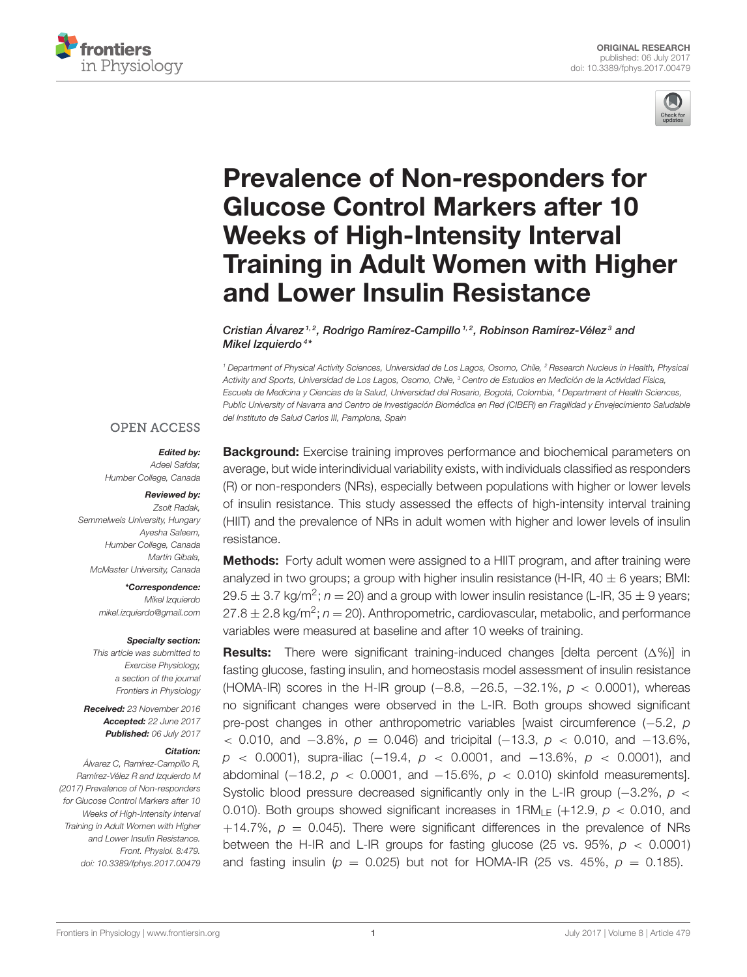



# Prevalence of Non-responders for Glucose Control Markers after 10 Weeks of High-Intensity Interval [Training in Adult Women with Higher](http://journal.frontiersin.org/article/10.3389/fphys.2017.00479/abstract) and Lower Insulin Resistance

Cristian Álvarez  $1, 2$ , [Rodrigo Ramírez-Campillo](http://loop.frontiersin.org/people/421832/overview)  $1, 2$ , [Robinson Ramírez-Vélez](http://loop.frontiersin.org/people/415176/overview) $3$  and [Mikel Izquierdo](http://loop.frontiersin.org/people/287814/overview)<sup>4\*</sup>

<sup>1</sup> Department of Physical Activity Sciences, Universidad de Los Lagos, Osorno, Chile, <sup>2</sup> Research Nucleus in Health, Physical Activity and Sports, Universidad de Los Lagos, Osorno, Chile, <sup>3</sup> Centro de Estudios en Medición de la Actividad Física, Escuela de Medicina y Ciencias de la Salud, Universidad del Rosario, Bogotá, Colombia, <sup>4</sup> Department of Health Sciences, Public University of Navarra and Centro de Investigación Biomédica en Red (CIBER) en Fragilidad y Envejecimiento Saludable del Instituto de Salud Carlos III, Pamplona, Spain

## **OPEN ACCESS**

Edited by: Adeel Safdar, Humber College, Canada

#### Reviewed by:

Zsolt Radak, Semmelweis University, Hungary Ayesha Saleem, Humber College, Canada Martin Gibala, McMaster University, Canada

> \*Correspondence: Mikel Izquierdo [mikel.izquierdo@gmail.com](mailto:mikel.izquierdo@gmail.com)

#### Specialty section:

This article was submitted to Exercise Physiology, a section of the journal Frontiers in Physiology

Received: 23 November 2016 Accepted: 22 June 2017 Published: 06 July 2017

#### Citation:

Álvarez C, Ramírez-Campillo R, Ramírez-Vélez R and Izquierdo M (2017) Prevalence of Non-responders for Glucose Control Markers after 10 Weeks of High-Intensity Interval Training in Adult Women with Higher and Lower Insulin Resistance. Front. Physiol. 8:479. doi: [10.3389/fphys.2017.00479](https://doi.org/10.3389/fphys.2017.00479)

**Background:** Exercise training improves performance and biochemical parameters on average, but wide interindividual variability exists, with individuals classified as responders (R) or non-responders (NRs), especially between populations with higher or lower levels of insulin resistance. This study assessed the effects of high-intensity interval training (HIIT) and the prevalence of NRs in adult women with higher and lower levels of insulin resistance.

Methods: Forty adult women were assigned to a HIIT program, and after training were analyzed in two groups; a group with higher insulin resistance (H-IR,  $40 \pm 6$  years; BMI:  $29.5 \pm 3.7$  kg/m<sup>2</sup>;  $n = 20$ ) and a group with lower insulin resistance (L-IR, 35  $\pm$  9 years;  $27.8 \pm 2.8$  kg/m<sup>2</sup>;  $n = 20$ ). Anthropometric, cardiovascular, metabolic, and performance variables were measured at baseline and after 10 weeks of training.

**Results:** There were significant training-induced changes [delta percent  $(\Delta\%)$ ] in fasting glucose, fasting insulin, and homeostasis model assessment of insulin resistance (HOMA-IR) scores in the H-IR group (-8.8, -26.5, -32.1%,  $p < 0.0001$ ), whereas no significant changes were observed in the L-IR. Both groups showed significant pre-post changes in other anthropometric variables [waist circumference (−5.2, p < 0.010, and  $-3.8\%$ ,  $p = 0.046$ ) and tricipital (-13.3,  $p$  < 0.010, and -13.6%,  $p \approx 0.0001$ , supra-iliac (-19.4,  $p \approx 0.0001$ , and -13.6%,  $p \approx 0.0001$ ), and abdominal (-18.2,  $p < 0.0001$ , and -15.6%,  $p < 0.010$ ) skinfold measurements]. Systolic blood pressure decreased significantly only in the L-IR group ( $-3.2\%$ ,  $p <$ 0.010). Both groups showed significant increases in  $1RM_{LF}$  (+12.9,  $p < 0.010$ , and +14.7%,  $p = 0.045$ ). There were significant differences in the prevalence of NRs between the H-IR and L-IR groups for fasting glucose (25 vs. 95%,  $p < 0.0001$ ) and fasting insulin ( $p = 0.025$ ) but not for HOMA-IR (25 vs. 45%,  $p = 0.185$ ).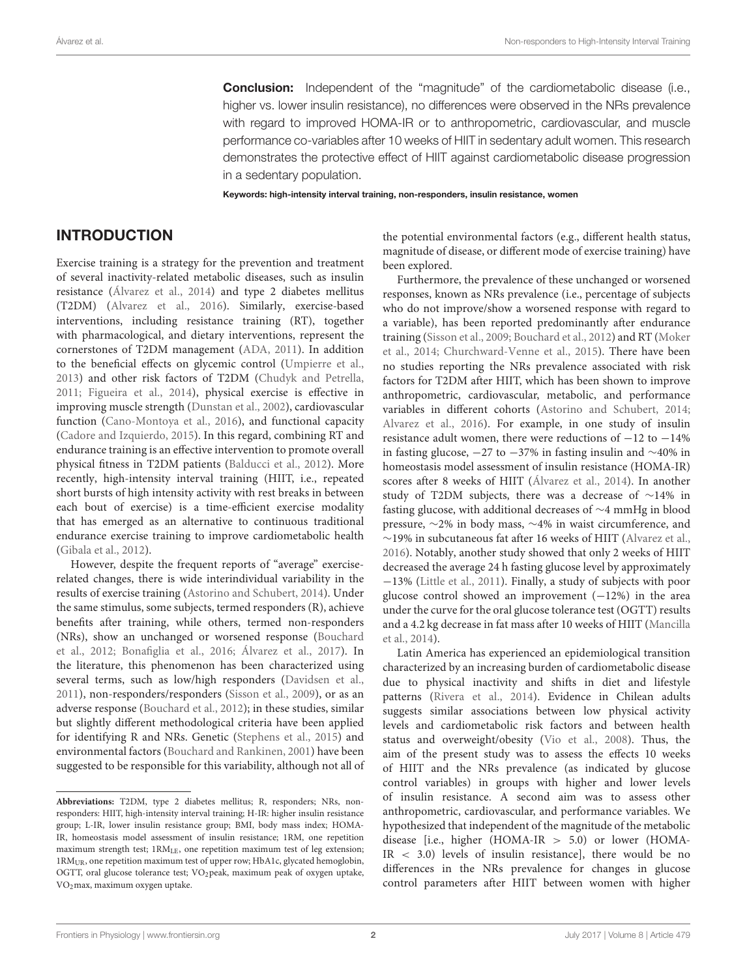**Conclusion:** Independent of the "magnitude" of the cardiometabolic disease (i.e., higher vs. lower insulin resistance), no differences were observed in the NRs prevalence with regard to improved HOMA-IR or to anthropometric, cardiovascular, and muscle performance co-variables after 10 weeks of HIIT in sedentary adult women. This research demonstrates the protective effect of HIIT against cardiometabolic disease progression in a sedentary population.

Keywords: high-intensity interval training, non-responders, insulin resistance, women

## INTRODUCTION

Exercise training is a strategy for the prevention and treatment of several inactivity-related metabolic diseases, such as insulin resistance [\(Álvarez et al., 2014\)](#page-9-0) and type 2 diabetes mellitus (T2DM) [\(Alvarez et al., 2016\)](#page-9-1). Similarly, exercise-based interventions, including resistance training (RT), together with pharmacological, and dietary interventions, represent the cornerstones of T2DM management [\(ADA, 2011\)](#page-9-2). In addition to the beneficial effects on glycemic control [\(Umpierre et al.,](#page-10-0) [2013\)](#page-10-0) and other risk factors of T2DM [\(Chudyk and Petrella,](#page-10-1) [2011;](#page-10-1) [Figueira et al., 2014\)](#page-10-2), physical exercise is effective in improving muscle strength [\(Dunstan et al., 2002\)](#page-10-3), cardiovascular function [\(Cano-Montoya et al., 2016\)](#page-10-4), and functional capacity [\(Cadore and Izquierdo, 2015\)](#page-10-5). In this regard, combining RT and endurance training is an effective intervention to promote overall physical fitness in T2DM patients [\(Balducci et al., 2012\)](#page-9-3). More recently, high-intensity interval training (HIIT, i.e., repeated short bursts of high intensity activity with rest breaks in between each bout of exercise) is a time-efficient exercise modality that has emerged as an alternative to continuous traditional endurance exercise training to improve cardiometabolic health [\(Gibala et al., 2012\)](#page-10-6).

However, despite the frequent reports of "average" exerciserelated changes, there is wide interindividual variability in the results of exercise training [\(Astorino and Schubert, 2014\)](#page-9-4). Under the same stimulus, some subjects, termed responders (R), achieve benefits after training, while others, termed non-responders (NRs), show an unchanged or worsened response (Bouchard et al., [2012;](#page-10-7) [Bonafiglia et al., 2016;](#page-10-8) [Álvarez et al., 2017\)](#page-9-5). In the literature, this phenomenon has been characterized using several terms, such as low/high responders [\(Davidsen et al.,](#page-10-9) [2011\)](#page-10-9), non-responders/responders [\(Sisson et al., 2009\)](#page-10-10), or as an adverse response [\(Bouchard et al., 2012\)](#page-10-7); in these studies, similar but slightly different methodological criteria have been applied for identifying R and NRs. Genetic [\(Stephens et al., 2015\)](#page-10-11) and environmental factors [\(Bouchard and Rankinen, 2001\)](#page-10-12) have been suggested to be responsible for this variability, although not all of the potential environmental factors (e.g., different health status, magnitude of disease, or different mode of exercise training) have been explored.

Furthermore, the prevalence of these unchanged or worsened responses, known as NRs prevalence (i.e., percentage of subjects who do not improve/show a worsened response with regard to a variable), has been reported predominantly after endurance training [\(Sisson et al., 2009;](#page-10-10) [Bouchard et al., 2012\)](#page-10-7) and RT (Moker et al., [2014;](#page-10-13) [Churchward-Venne et al., 2015\)](#page-10-14). There have been no studies reporting the NRs prevalence associated with risk factors for T2DM after HIIT, which has been shown to improve anthropometric, cardiovascular, metabolic, and performance variables in different cohorts [\(Astorino and Schubert, 2014;](#page-9-4) [Alvarez et al., 2016\)](#page-9-1). For example, in one study of insulin resistance adult women, there were reductions of −12 to −14% in fasting glucose,  $-27$  to  $-37%$  in fasting insulin and  $\sim$ 40% in homeostasis model assessment of insulin resistance (HOMA-IR) scores after 8 weeks of HIIT [\(Álvarez et al., 2014\)](#page-9-0). In another study of T2DM subjects, there was a decrease of ∼14% in fasting glucose, with additional decreases of ∼4 mmHg in blood pressure, ∼2% in body mass, ∼4% in waist circumference, and ∼19% in subcutaneous fat after 16 weeks of HIIT [\(Alvarez et al.,](#page-9-1) [2016\)](#page-9-1). Notably, another study showed that only 2 weeks of HIIT decreased the average 24 h fasting glucose level by approximately −13% [\(Little et al., 2011\)](#page-10-15). Finally, a study of subjects with poor glucose control showed an improvement  $(-12%)$  in the area under the curve for the oral glucose tolerance test (OGTT) results and a 4.2 kg decrease in fat mass after 10 weeks of HIIT (Mancilla et al., [2014\)](#page-10-16).

Latin America has experienced an epidemiological transition characterized by an increasing burden of cardiometabolic disease due to physical inactivity and shifts in diet and lifestyle patterns [\(Rivera et al., 2014\)](#page-10-17). Evidence in Chilean adults suggests similar associations between low physical activity levels and cardiometabolic risk factors and between health status and overweight/obesity [\(Vio et al., 2008\)](#page-10-18). Thus, the aim of the present study was to assess the effects 10 weeks of HIIT and the NRs prevalence (as indicated by glucose control variables) in groups with higher and lower levels of insulin resistance. A second aim was to assess other anthropometric, cardiovascular, and performance variables. We hypothesized that independent of the magnitude of the metabolic disease [i.e., higher (HOMA-IR > 5.0) or lower (HOMA-IR < 3.0) levels of insulin resistance], there would be no differences in the NRs prevalence for changes in glucose control parameters after HIIT between women with higher

**Abbreviations:** T2DM, type 2 diabetes mellitus; R, responders; NRs, nonresponders: HIIT, high-intensity interval training; H-IR: higher insulin resistance group; L-IR, lower insulin resistance group; BMI, body mass index; HOMA-IR, homeostasis model assessment of insulin resistance; 1RM, one repetition maximum strength test; 1RMLE, one repetition maximum test of leg extension; 1RMUR, one repetition maximum test of upper row; HbA1c, glycated hemoglobin, OGTT, oral glucose tolerance test; VO<sub>2</sub>peak, maximum peak of oxygen uptake, VO2max, maximum oxygen uptake.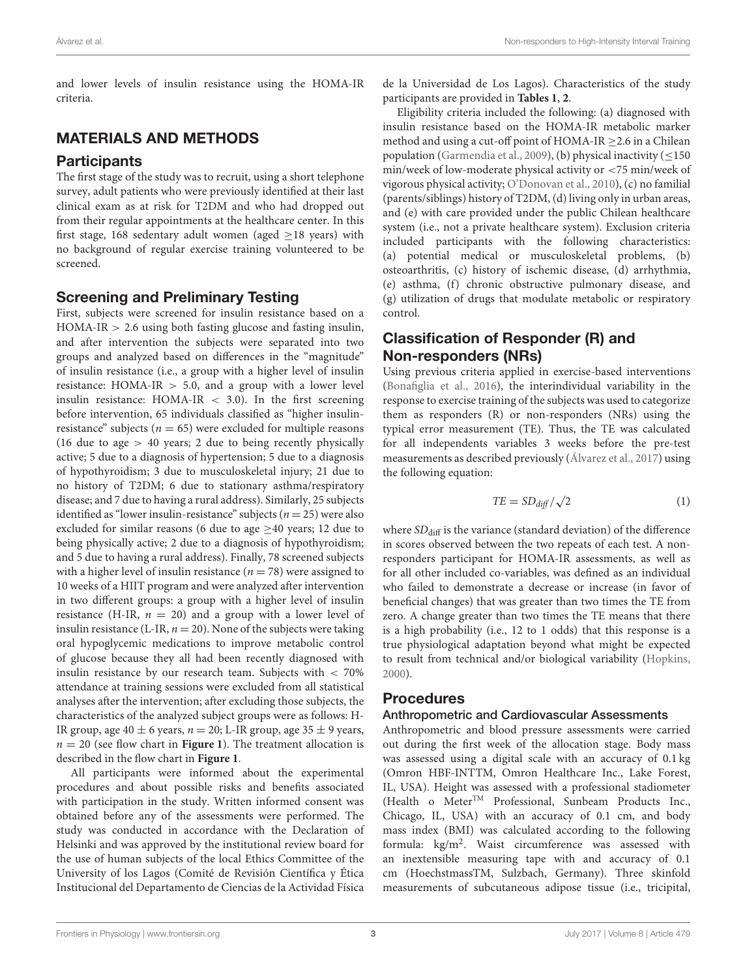and lower levels of insulin resistance using the HOMA-IR criteria.

## MATERIALS AND METHODS

## **Participants**

The first stage of the study was to recruit, using a short telephone survey, adult patients who were previously identified at their last clinical exam as at risk for T2DM and who had dropped out from their regular appointments at the healthcare center. In this first stage, 168 sedentary adult women (aged  $\geq$ 18 years) with no background of regular exercise training volunteered to be screened.

## Screening and Preliminary Testing

First, subjects were screened for insulin resistance based on a  $HOMA-IR > 2.6$  using both fasting glucose and fasting insulin, and after intervention the subjects were separated into two groups and analyzed based on differences in the "magnitude" of insulin resistance (i.e., a group with a higher level of insulin resistance:  $HOMA-IR > 5.0$ , and a group with a lower level insulin resistance:  $HOMA-IR < 3.0$ ). In the first screening before intervention, 65 individuals classified as "higher insulinresistance" subjects ( $n = 65$ ) were excluded for multiple reasons (16 due to age  $> 40$  years; 2 due to being recently physically active; 5 due to a diagnosis of hypertension; 5 due to a diagnosis of hypothyroidism; 3 due to musculoskeletal injury; 21 due to no history of T2DM; 6 due to stationary asthma/respiratory disease; and 7 due to having a rural address). Similarly, 25 subjects identified as "lower insulin-resistance" subjects ( $n = 25$ ) were also excluded for similar reasons (6 due to age  $\geq$ 40 years; 12 due to being physically active; 2 due to a diagnosis of hypothyroidism; and 5 due to having a rural address). Finally, 78 screened subjects with a higher level of insulin resistance ( $n = 78$ ) were assigned to 10 weeks of a HIIT program and were analyzed after intervention in two different groups: a group with a higher level of insulin resistance (H-IR,  $n = 20$ ) and a group with a lower level of insulin resistance (L-IR,  $n = 20$ ). None of the subjects were taking oral hypoglycemic medications to improve metabolic control of glucose because they all had been recently diagnosed with insulin resistance by our research team. Subjects with  $< 70\%$ attendance at training sessions were excluded from all statistical analyses after the intervention; after excluding those subjects, the characteristics of the analyzed subject groups were as follows: H-IR group, age  $40 \pm 6$  years,  $n = 20$ ; L-IR group, age  $35 \pm 9$  years,  $n = 20$  (see flow chart in **[Figure 1](#page-3-0)**). The treatment allocation is described in the flow chart in **[Figure 1](#page-3-0)**.

All participants were informed about the experimental procedures and about possible risks and benefits associated with participation in the study. Written informed consent was obtained before any of the assessments were performed. The study was conducted in accordance with the Declaration of Helsinki and was approved by the institutional review board for the use of human subjects of the local Ethics Committee of the University of los Lagos (Comité de Revisión Científica y Ética Institucional del Departamento de Ciencias de la Actividad Física de la Universidad de Los Lagos). Characteristics of the study participants are provided in **[Tables 1](#page-4-0)**, **[2](#page-5-0)**.

Eligibility criteria included the following: (a) diagnosed with insulin resistance based on the HOMA-IR metabolic marker method and using a cut-off point of HOMA-IR ≥2.6 in a Chilean population [\(Garmendia et al., 2009\)](#page-10-19), (b) physical inactivity (≤150 min/week of low-moderate physical activity or <75 min/week of vigorous physical activity; [O'Donovan et al., 2010\)](#page-10-20), (c) no familial (parents/siblings) history of T2DM, (d) living only in urban areas, and (e) with care provided under the public Chilean healthcare system (i.e., not a private healthcare system). Exclusion criteria included participants with the following characteristics: (a) potential medical or musculoskeletal problems, (b) osteoarthritis, (c) history of ischemic disease, (d) arrhythmia, (e) asthma, (f) chronic obstructive pulmonary disease, and (g) utilization of drugs that modulate metabolic or respiratory control.

## Classification of Responder (R) and Non-responders (NRs)

Using previous criteria applied in exercise-based interventions [\(Bonafiglia et al., 2016\)](#page-10-8), the interindividual variability in the response to exercise training of the subjects was used to categorize them as responders (R) or non-responders (NRs) using the typical error measurement (TE). Thus, the TE was calculated for all independents variables 3 weeks before the pre-test measurements as described previously [\(Álvarez et al., 2017\)](#page-9-5) using the following equation:

$$
TE = SD_{diff}/\sqrt{2}
$$
 (1)

where  $SD<sub>diff</sub>$  is the variance (standard deviation) of the difference in scores observed between the two repeats of each test. A nonresponders participant for HOMA-IR assessments, as well as for all other included co-variables, was defined as an individual who failed to demonstrate a decrease or increase (in favor of beneficial changes) that was greater than two times the TE from zero. A change greater than two times the TE means that there is a high probability (i.e., 12 to 1 odds) that this response is a true physiological adaptation beyond what might be expected to result from technical and/or biological variability [\(Hopkins,](#page-10-21) [2000\)](#page-10-21).

### Procedures

#### Anthropometric and Cardiovascular Assessments

Anthropometric and blood pressure assessments were carried out during the first week of the allocation stage. Body mass was assessed using a digital scale with an accuracy of 0.1 kg (Omron HBF-INTTM, Omron Healthcare Inc., Lake Forest, IL, USA). Height was assessed with a professional stadiometer (Health o MeterTM Professional, Sunbeam Products Inc., Chicago, IL, USA) with an accuracy of 0.1 cm, and body mass index (BMI) was calculated according to the following formula: kg/m<sup>2</sup>. Waist circumference was assessed with an inextensible measuring tape with and accuracy of 0.1 cm (HoechstmassTM, Sulzbach, Germany). Three skinfold measurements of subcutaneous adipose tissue (i.e., tricipital,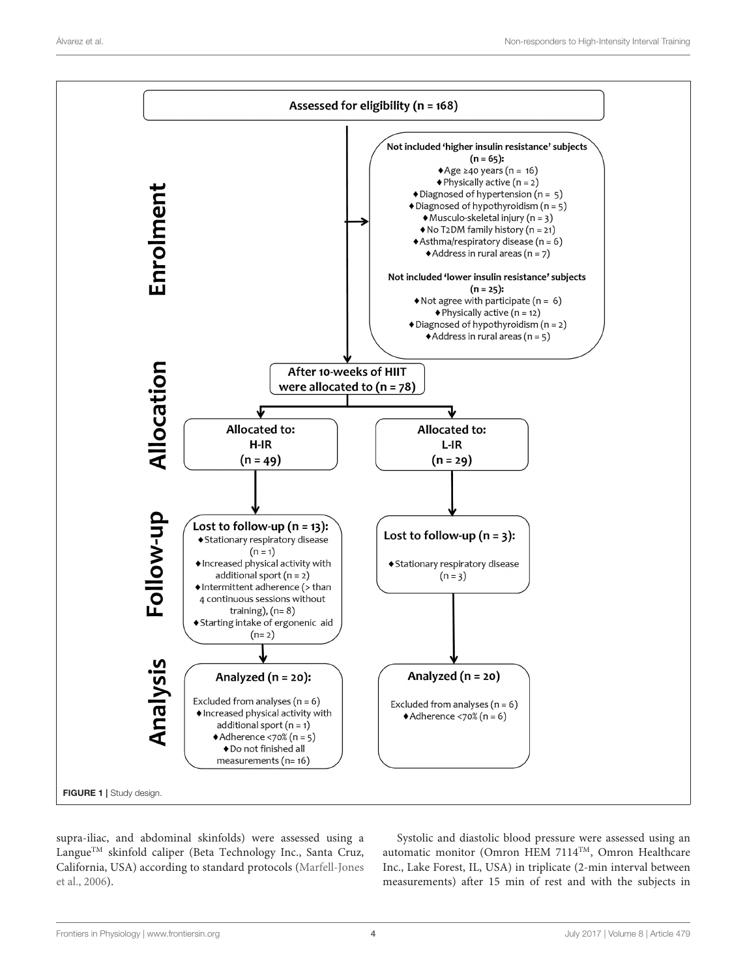

<span id="page-3-0"></span>supra-iliac, and abdominal skinfolds) were assessed using a Langue<sup>™</sup> skinfold caliper (Beta Technology Inc., Santa Cruz, California, USA) according to standard protocols (Marfell-Jones et al., [2006\)](#page-10-22).

Systolic and diastolic blood pressure were assessed using an automatic monitor (Omron HEM 7114TM, Omron Healthcare Inc., Lake Forest, IL, USA) in triplicate (2-min interval between measurements) after 15 min of rest and with the subjects in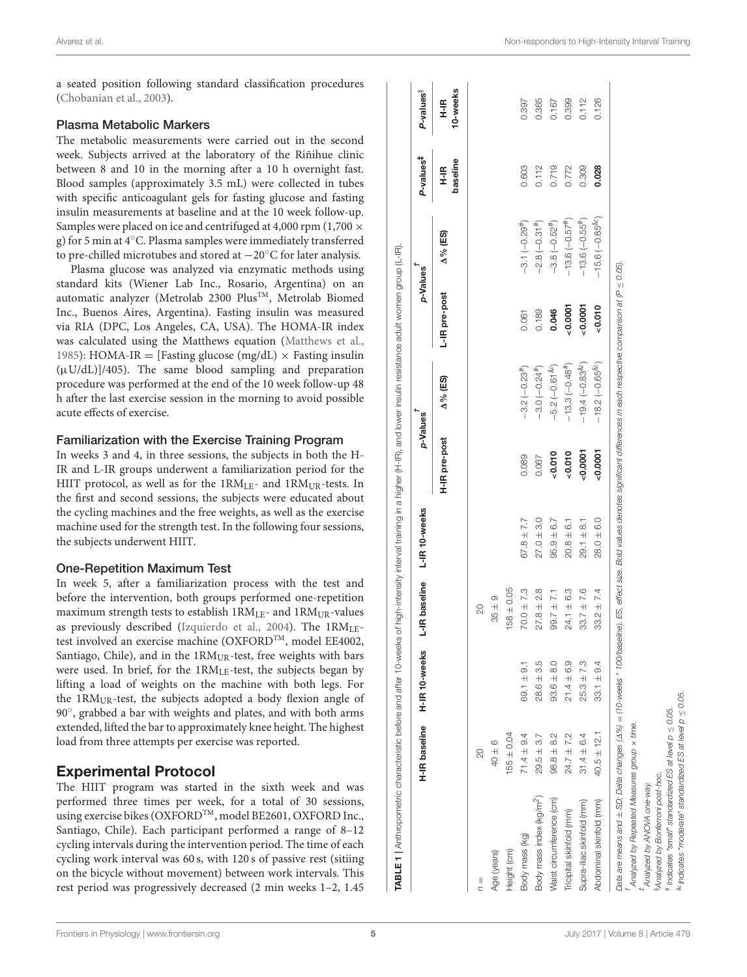a seated position following standard classification procedures [\(Chobanian et al., 2003\)](#page-10-23).

#### Plasma Metabolic Markers

The metabolic measurements were carried out in the second week. Subjects arrived at the laboratory of the Riñihue clinic between 8 and 10 in the morning after a 10 h overnight fast. Blood samples (approximately 3.5 mL) were collected in tubes with specific anticoagulant gels for fasting glucose and fasting insulin measurements at baseline and at the 10 week follow-up. Samples were placed on ice and centrifuged at 4,000 rpm (1,700  $\times$ g) for 5 min at 4◦C. Plasma samples were immediately transferred to pre-chilled microtubes and stored at −20◦C for later analysis.

Plasma glucose was analyzed via enzymatic methods using standard kits (Wiener Lab Inc., Rosario, Argentina) on an automatic analyzer (Metrolab 2300 Plus™, Metrolab Biomed Inc., Buenos Aires, Argentina). Fasting insulin was measured via RIA (DPC, Los Angeles, CA, USA). The HOMA-IR index was calculated using the Matthews equation [\(Matthews et al.,](#page-10-24) [1985\)](#page-10-24): HOMA-IR = [Fasting glucose (mg/dL)  $\times$  Fasting insulin  $(\mu U/dL)/405$ ). The same blood sampling and preparation procedure was performed at the end of the 10 week follow-up 48 h after the last exercise session in the morning to avoid possible acute effects of exercise.

#### Familiarization with the Exercise Training Program

In weeks 3 and 4, in three sessions, the subjects in both the H-IR and L-IR groups underwent a familiarization period for the HIIT protocol, as well as for the  $1RM_{LE}$ - and  $1RM_{UR}$ -tests. In the first and second sessions, the subjects were educated about the cycling machines and the free weights, as well as the exercise machine used for the strength test. In the following four sessions, the subjects underwent HIIT.

### One-Repetition Maximum Test

In week 5, after a familiarization process with the test and before the intervention, both groups performed one-repetition maximum strength tests to establish 1RM<sub>LE</sub>- and 1RM<sub>UR</sub>-values as previously described [\(Izquierdo et al., 2004\)](#page-10-25). The 1RMLEtest involved an exercise machine (OXFORDTM, model EE4002, Santiago, Chile), and in the 1RM<sub>UR</sub>-test, free weights with bars were used. In brief, for the 1RMLE-test, the subjects began by lifting a load of weights on the machine with both legs. For the  $1RM<sub>UR</sub>$ -test, the subjects adopted a body flexion angle of 90◦ , grabbed a bar with weights and plates, and with both arms extended, lifted the bar to approximately knee height. The highest load from three attempts per exercise was reported.

## Experimental Protocol

The HIIT program was started in the sixth week and was performed three times per week, for a total of 30 sessions, using exercise bikes (OXFORDTM, model BE2601, OXFORD Inc., Santiago, Chile). Each participant performed a range of 8–12 cycling intervals during the intervention period. The time of each cycling work interval was 60 s, with 120 s of passive rest (sitiing on the bicycle without movement) between work intervals. This rest period was progressively decreased (2 min weeks 1–2, 1.45

|                                      | H-IR baseline   | H-IR <sub>10-weeks</sub> | L-IR baseline  | L-IR <sub>10-weeks</sub> | p-Values      |                   | p-Values      |                              | P-values <sup>‡</sup>   | P-values <sup>§</sup> |
|--------------------------------------|-----------------|--------------------------|----------------|--------------------------|---------------|-------------------|---------------|------------------------------|-------------------------|-----------------------|
|                                      |                 |                          |                |                          | H-IR pre-post | $\Delta\%$ (ES)   | L-IR pre-post | $\Delta\%$ (ES)              | baseline<br>$rac{1}{1}$ | 10-weeks<br>H-IR      |
| $\frac{1}{2}$                        | 20              |                          | 20             |                          |               |                   |               |                              |                         |                       |
| Age (years)                          | $40 \pm 6$      |                          | $35 \pm 9$     |                          |               |                   |               |                              |                         |                       |
| Height (cm)                          | $155 \pm 0.04$  |                          | $158 \pm 0.05$ |                          |               |                   |               |                              |                         |                       |
| Body mass (kg)                       | $71.4 \pm 9.4$  | $69.1 \pm 9.1$           | $70.0 \pm 7.3$ | $67.8 \pm 7.7$           | 0.089         | $-3.2(-0.23)$     | 0.061         | $-3.1(-0.29#)$               | 0.603                   | 0.397                 |
| Body mass index (kg/m <sup>2</sup> ) | $29.5 + 3.7$    | $28.6 \pm 3.5$           | $27.8 \pm 2.8$ | $27.0 \pm 3.0$           | 0.067         | $-3.0(-0.24)$     | 0.189         | $-2.8(-0.31#)$               | 0.112                   | 0.365                 |
| Naist circumference (cm)             | $98.8 \pm 8.2$  | $93.6 \pm 8.0$           | $99.7 \pm 7.1$ | $95.9 \pm 6.7$           | 0.010         | $-5.2(-0.61^{&})$ | 0.046         | $-3.8(-0.52^{#})$            | 0.719                   | 0.167                 |
| Tricipital skinfold (mm)             | $24.7 \pm 7.2$  | $21.4 \pm 6.9$           | $24.1 \pm 6.3$ | $20.8 \pm 6.1$           | 0.010         | $-13.3(-0.48#)$   | 0.0007        | $-13.6(-0.57$ <sup>#</sup> ) | 0.772                   | 0.399                 |
| Supra-iliac skinfold (mm)            | $31.4 \pm 6.4$  | $25.3 \pm 7.3$           | $33.7 \pm 7.6$ | $29.1 \pm 8.1$           | 0.0007        | $-19.4(-0.83)$    | 0.0007        | $-13.6(-0.55#)$              | 0.309                   | 0.112                 |
| Abdominal skinfold (mm)              | $40.5 \pm 12.1$ | $33.1 \pm 9.4$           | $33.2 \pm 7.4$ | $28.0 \pm 6.0$           | 0.0007        | $-18.2(-0.65\%)$  | 0.010         | $-15.6(-0.85\%)$             | 0.028                   | 0.126                 |

<span id="page-4-0"></span>‡Analyzed by ANOVA one-way. §Analyzed by Bonferroni post-hoc.

#

 Indicates "small" standardized ES at level p ≤ 0.05.  $\&$ Indicates "moderate" standardized ES at level  $\rho \leq 0.05$ .

"moderate"

Indicates Indicates Analyzed

by Bonferroni post-hoc Analyzed by ANOVA one-way.

"small" standardized ES at level  $p \leq 0.05$ .

standardized ES at level  $p \leq 0.05$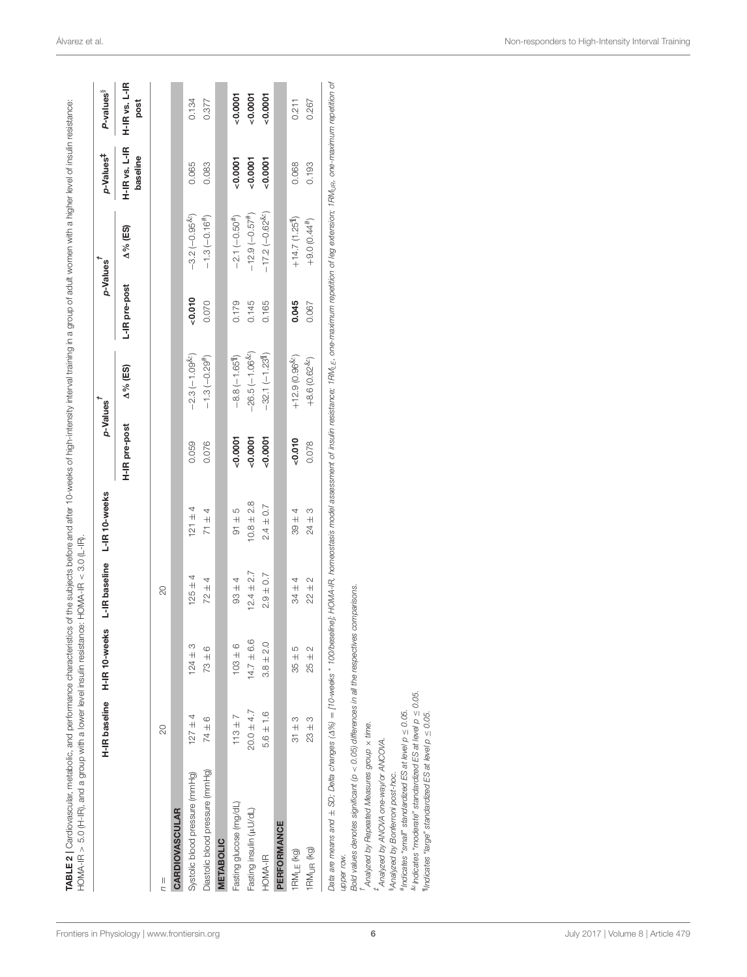| HOMA-IR > 5.0 (H-IR), and a group with a lower level insulin resistance: HOMA-IR < 3.0 (L-IR).                                                                                                                                                   |                |                             |                    |                                  |               |                    |               |                              |                           |                       |
|--------------------------------------------------------------------------------------------------------------------------------------------------------------------------------------------------------------------------------------------------|----------------|-----------------------------|--------------------|----------------------------------|---------------|--------------------|---------------|------------------------------|---------------------------|-----------------------|
|                                                                                                                                                                                                                                                  |                | H-IR baseline H-IR 10-weeks | L-IR baseline      | L-IR <sub>10-weeks</sub>         | p-Values      |                    |               | p-Values                     | p-Values <sup>‡</sup>     | P-values <sup>§</sup> |
|                                                                                                                                                                                                                                                  |                |                             |                    |                                  | H-IR pre-post | $\Delta\%$ (ES)    | L-IR pre-post | $\Delta\%$ (ES)              | H-IR vs. L-IR<br>baseline | H-IR vs. L-IR<br>post |
| $n =$                                                                                                                                                                                                                                            | 20             |                             | $\overline{c}$     |                                  |               |                    |               |                              |                           |                       |
| <b>CARDIOVASCULAR</b>                                                                                                                                                                                                                            |                |                             |                    |                                  |               |                    |               |                              |                           |                       |
| Systolic blood pressure (mmHg)                                                                                                                                                                                                                   | $127 + 4$      | $124 \pm 3$                 | 4<br>$125 \pm$     | 4<br>$\ddot{+}$<br>$\frac{1}{2}$ | 0.059         | $-2.3(-1.09^{k})$  | $-0.010$      | $-3.2(-0.95&)$               | 0.065                     | 0.134                 |
| Diastolic blood pressure (mmHg)                                                                                                                                                                                                                  | $74 \pm 6$     | $73 \pm 6$                  | 4<br>$72 \pm 4$    | $+4$<br>$\overline{7}$           | 0.076         | $-1.3(-0.29#)$     | 0.070         | $-1.3(-0.16#)$               | 0.083                     | 0.377                 |
| <b>METABOLIC</b>                                                                                                                                                                                                                                 |                |                             |                    |                                  |               |                    |               |                              |                           |                       |
| Fasting glucose (mg/dL)                                                                                                                                                                                                                          | $113 + 7$      | $103 + 6$                   | 4<br>$\frac{4}{3}$ | $-91 \pm 5$                      | $-0.0001$     | $-8.8(-1.651)$     | 0.179         | $-2.1(-0.50#)$               | $-0.0001$                 | 0.0007                |
| Fasting insulin (µU/dL)                                                                                                                                                                                                                          | $20.0 \pm 4.7$ | $14.7 \pm 6.6$              | $12.4 \pm 2.7$     | $10.8 \pm 2.8$                   | 0.0007        | $-26.5(-1.06^{k})$ | 0.145         | $-12.9(-0.57#)$              | 0.0007                    | 0.0007                |
| HOMA-IR                                                                                                                                                                                                                                          | $5.6 \pm 1.6$  | $3.8 \pm 2.0$               | $2.9 \pm 0.7$      | $2.4 \pm 0.7$                    | $-0.0001$     | $-32.1(-1.231]$    | 0.165         | $-17.2(-0.62^{\&})$          | 0.0007                    | 0.0007                |
| PERFORMANCE                                                                                                                                                                                                                                      |                |                             |                    |                                  |               |                    |               |                              |                           |                       |
| 1RM <sub>LE</sub> (kg)                                                                                                                                                                                                                           | $31 \pm 3$     | $35 \pm 5$                  | $34 \pm 4$         | $39 + 4$                         | $-0.010$      | $+12.9(0.96^{8c})$ | 0.045         | $+14.7$ (1.25 <sup>1</sup> ) | 0.068                     | 0.211                 |
| 1RM <sub>UR</sub> (kg)                                                                                                                                                                                                                           | $23 \pm 3$     | $25 \pm 2$                  | $22 \pm 2$         | $24 \pm 3$                       | 0.078         | $+8.6(0.62^{6c})$  | 0.067         | $+9.0(0.44#)$                | 0.193                     | 0.267                 |
| Data are means and ± SD; Delta changes (4%) = [10-weeks * 100/beseline}; HOMA-IR, homeostasis model assessment of insulin resistance; 1RM <sub>uE</sub> , one-maximum repetition of leg extension; 1RM <sub>uP</sub> , one-maximum repetition of |                |                             |                    |                                  |               |                    |               |                              |                           |                       |
| upper row.                                                                                                                                                                                                                                       |                |                             |                    |                                  |               |                    |               |                              |                           |                       |
| Bold values denotes significant $(p < 0.05)$ differences in all the respective<br>Analyzed by Repeated Measures group x time.                                                                                                                    |                |                             | es comparisons.    |                                  |               |                    |               |                              |                           |                       |
|                                                                                                                                                                                                                                                  |                |                             |                    |                                  |               |                    |               |                              |                           |                       |
| Analyzed by ANOVA one-way/or ANCOVA.<br>Analyzed by Bonferroni post-hoc.                                                                                                                                                                         |                |                             |                    |                                  |               |                    |               |                              |                           |                       |
| #Indicates "small" standardized ES at level $p \leq 0.05$ .                                                                                                                                                                                      |                |                             |                    |                                  |               |                    |               |                              |                           |                       |
| $k$ Indicates "moderate" standardized ES at level $p \leq 0.05$ .<br>"Indicates "large" standardized ES at level $p \leq 0.05$                                                                                                                   |                |                             |                    |                                  |               |                    |               |                              |                           |                       |
|                                                                                                                                                                                                                                                  |                |                             |                    |                                  |               |                    |               |                              |                           |                       |

<span id="page-5-0"></span>[Frontiers in Physiology](http://www.frontiersin.org/Physiology)| [www.frontiersin.org](http://www.frontiersin.org)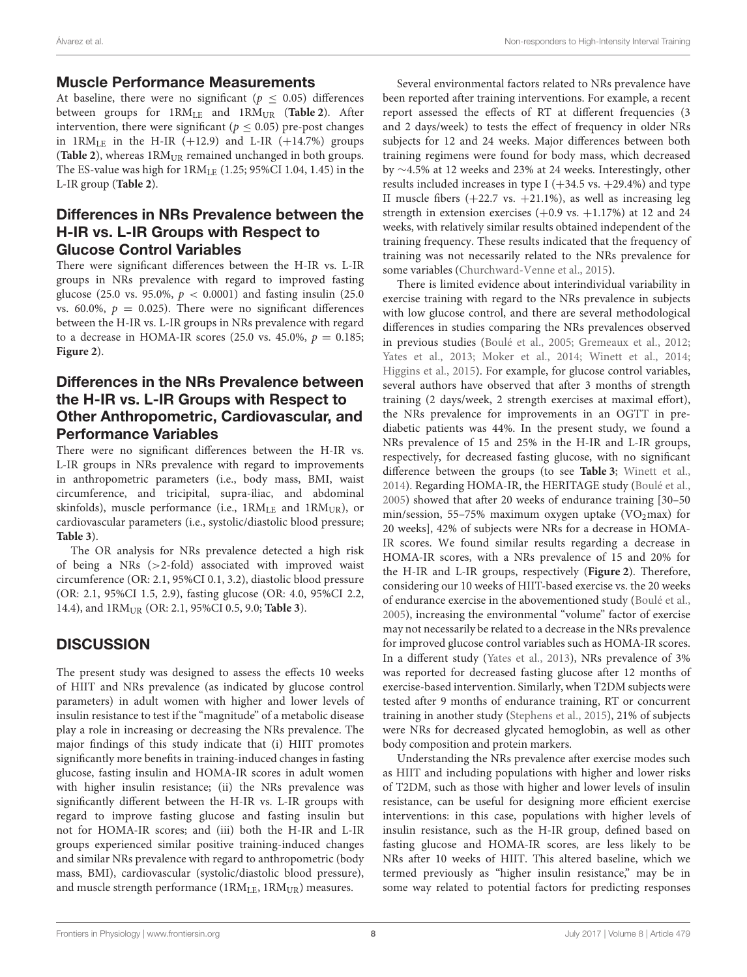## Muscle Performance Measurements

At baseline, there were no significant ( $p < 0.05$ ) differences between groups for  $1RM<sub>LE</sub>$  and  $1RM<sub>UR</sub>$  ([Table 2](#page-5-0)). After intervention, there were significant ( $p \leq 0.05$ ) pre-post changes in  $1RM<sub>LE</sub>$  in the H-IR (+12.9) and L-IR (+14.7%) groups (**[Table 2](#page-5-0)**), whereas  $1RM_{UR}$  remained unchanged in both groups. The ES-value was high for 1RMLE (1.25; 95%CI 1.04, 1.45) in the L-IR group (**[Table 2](#page-5-0)**).

## Differences in NRs Prevalence between the H-IR vs. L-IR Groups with Respect to Glucose Control Variables

There were significant differences between the H-IR vs. L-IR groups in NRs prevalence with regard to improved fasting glucose (25.0 vs. 95.0%,  $p < 0.0001$ ) and fasting insulin (25.0) vs. 60.0%,  $p = 0.025$ ). There were no significant differences between the H-IR vs. L-IR groups in NRs prevalence with regard to a decrease in HOMA-IR scores (25.0 vs. 45.0%,  $p = 0.185$ ; **[Figure 2](#page-6-0)**).

## Differences in the NRs Prevalence between the H-IR vs. L-IR Groups with Respect to Other Anthropometric, Cardiovascular, and Performance Variables

There were no significant differences between the H-IR vs. L-IR groups in NRs prevalence with regard to improvements in anthropometric parameters (i.e., body mass, BMI, waist circumference, and tricipital, supra-iliac, and abdominal skinfolds), muscle performance (i.e.,  $1RM<sub>LE</sub>$  and  $1RM<sub>UR</sub>$ ), or cardiovascular parameters (i.e., systolic/diastolic blood pressure; **[Table 3](#page-8-0)**).

The OR analysis for NRs prevalence detected a high risk of being a NRs (>2-fold) associated with improved waist circumference (OR: 2.1, 95%CI 0.1, 3.2), diastolic blood pressure (OR: 2.1, 95%CI 1.5, 2.9), fasting glucose (OR: 4.0, 95%CI 2.2, 14.4), and 1RMUR (OR: 2.1, 95%CI 0.5, 9.0; **[Table 3](#page-8-0)**).

# **DISCUSSION**

The present study was designed to assess the effects 10 weeks of HIIT and NRs prevalence (as indicated by glucose control parameters) in adult women with higher and lower levels of insulin resistance to test if the "magnitude" of a metabolic disease play a role in increasing or decreasing the NRs prevalence. The major findings of this study indicate that (i) HIIT promotes significantly more benefits in training-induced changes in fasting glucose, fasting insulin and HOMA-IR scores in adult women with higher insulin resistance; (ii) the NRs prevalence was significantly different between the H-IR vs. L-IR groups with regard to improve fasting glucose and fasting insulin but not for HOMA-IR scores; and (iii) both the H-IR and L-IR groups experienced similar positive training-induced changes and similar NRs prevalence with regard to anthropometric (body mass, BMI), cardiovascular (systolic/diastolic blood pressure), and muscle strength performance ( $1RM<sub>LE</sub>$ ,  $1RM<sub>UR</sub>$ ) measures.

Several environmental factors related to NRs prevalence have been reported after training interventions. For example, a recent report assessed the effects of RT at different frequencies (3 and 2 days/week) to tests the effect of frequency in older NRs subjects for 12 and 24 weeks. Major differences between both training regimens were found for body mass, which decreased by ∼4.5% at 12 weeks and 23% at 24 weeks. Interestingly, other results included increases in type I  $(+34.5 \text{ vs. } +29.4\%)$  and type II muscle fibers  $(+22.7 \text{ vs. } +21.1\%)$ , as well as increasing leg strength in extension exercises  $(+0.9 \text{ vs. } +1.17\%)$  at 12 and 24 weeks, with relatively similar results obtained independent of the training frequency. These results indicated that the frequency of training was not necessarily related to the NRs prevalence for some variables [\(Churchward-Venne et al., 2015\)](#page-10-14).

There is limited evidence about interindividual variability in exercise training with regard to the NRs prevalence in subjects with low glucose control, and there are several methodological differences in studies comparing the NRs prevalences observed in previous studies [\(Boulé et al., 2005;](#page-10-26) [Gremeaux et al., 2012;](#page-10-27) [Yates et al., 2013;](#page-11-0) [Moker et al., 2014;](#page-10-13) [Winett et al., 2014;](#page-11-1) [Higgins et al., 2015\)](#page-10-28). For example, for glucose control variables, several authors have observed that after 3 months of strength training (2 days/week, 2 strength exercises at maximal effort), the NRs prevalence for improvements in an OGTT in prediabetic patients was 44%. In the present study, we found a NRs prevalence of 15 and 25% in the H-IR and L-IR groups, respectively, for decreased fasting glucose, with no significant difference between the groups (to see **[Table 3](#page-8-0)**; [Winett et al.,](#page-11-1) [2014\)](#page-11-1). Regarding HOMA-IR, the HERITAGE study [\(Boulé et al.,](#page-10-26) [2005\)](#page-10-26) showed that after 20 weeks of endurance training [30–50 min/session, 55–75% maximum oxygen uptake  $(VO<sub>2</sub>max)$  for 20 weeks], 42% of subjects were NRs for a decrease in HOMA-IR scores. We found similar results regarding a decrease in HOMA-IR scores, with a NRs prevalence of 15 and 20% for the H-IR and L-IR groups, respectively (**[Figure 2](#page-6-0)**). Therefore, considering our 10 weeks of HIIT-based exercise vs. the 20 weeks of endurance exercise in the abovementioned study [\(Boulé et al.,](#page-10-26) [2005\)](#page-10-26), increasing the environmental "volume" factor of exercise may not necessarily be related to a decrease in the NRs prevalence for improved glucose control variables such as HOMA-IR scores. In a different study [\(Yates et al., 2013\)](#page-11-0), NRs prevalence of 3% was reported for decreased fasting glucose after 12 months of exercise-based intervention. Similarly, when T2DM subjects were tested after 9 months of endurance training, RT or concurrent training in another study [\(Stephens et al., 2015\)](#page-10-11), 21% of subjects were NRs for decreased glycated hemoglobin, as well as other body composition and protein markers.

Understanding the NRs prevalence after exercise modes such as HIIT and including populations with higher and lower risks of T2DM, such as those with higher and lower levels of insulin resistance, can be useful for designing more efficient exercise interventions: in this case, populations with higher levels of insulin resistance, such as the H-IR group, defined based on fasting glucose and HOMA-IR scores, are less likely to be NRs after 10 weeks of HIIT. This altered baseline, which we termed previously as "higher insulin resistance," may be in some way related to potential factors for predicting responses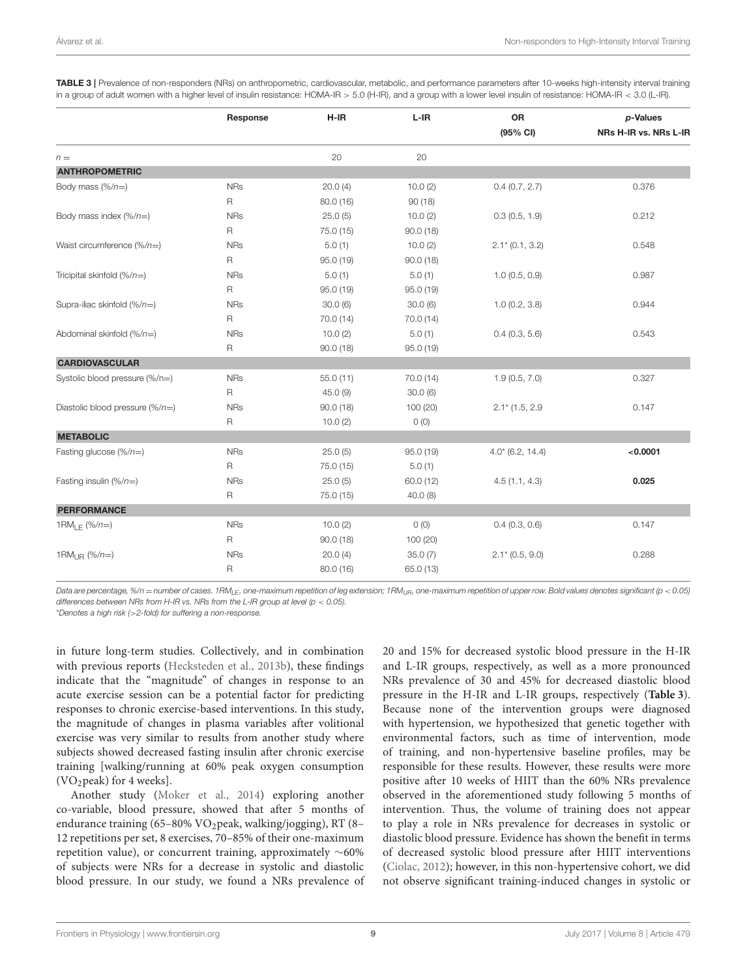|                                          | Response    | $H-IR$    | $L-IR$    | OR<br>(95% CI)                | p-Values<br>NRs H-IR vs. NRs L-IR |
|------------------------------------------|-------------|-----------|-----------|-------------------------------|-----------------------------------|
| $n =$                                    |             | 20        | 20        |                               |                                   |
| <b>ANTHROPOMETRIC</b>                    |             |           |           |                               |                                   |
| Body mass $(\%/n=)$                      | <b>NRs</b>  | 20.0(4)   | 10.0(2)   | 0.4(0.7, 2.7)                 | 0.376                             |
|                                          | R           | 80.0 (16) | 90(18)    |                               |                                   |
| Body mass index $(\frac{6}{n})$          | <b>NRs</b>  | 25.0(5)   | 10.0(2)   | 0.3(0.5, 1.9)                 | 0.212                             |
|                                          | R           | 75.0 (15) | 90.0(18)  |                               |                                   |
| Waist circumference $(\frac{9}{n})$      | <b>NRs</b>  | 5.0(1)    | 10.0(2)   | $2.1* (0.1, 3.2)$             | 0.548                             |
|                                          | R           | 95.0 (19) | 90.0(18)  |                               |                                   |
| Tricipital skinfold $(\%/n=)$            | <b>NRs</b>  | 5.0(1)    | 5.0(1)    | 1.0(0.5, 0.9)                 | 0.987                             |
|                                          | R           | 95.0 (19) | 95.0(19)  |                               |                                   |
| Supra-iliac skinfold $(\frac{1}{n})$     | <b>NRs</b>  | 30.0(6)   | 30.0(6)   | 1.0(0.2, 3.8)                 | 0.944                             |
|                                          | R           | 70.0 (14) | 70.0(14)  |                               |                                   |
| Abdominal skinfold $(\frac{m}{n})$       | <b>NRs</b>  | 10.0(2)   | 5.0(1)    | 0.4(0.3, 5.6)                 | 0.543                             |
|                                          | R           | 90.0(18)  | 95.0(19)  |                               |                                   |
| <b>CARDIOVASCULAR</b>                    |             |           |           |                               |                                   |
| Systolic blood pressure (%/n=)           | <b>NRs</b>  | 55.0(11)  | 70.0 (14) | 1.9(0.5, 7.0)                 | 0.327                             |
|                                          | R           | 45.0(9)   | 30.0(6)   |                               |                                   |
| Diastolic blood pressure $(\frac{6}{n})$ | <b>NRs</b>  | 90.0(18)  | 100 (20)  | $2.1$ <sup>*</sup> (1.5, 2.9) | 0.147                             |
|                                          | R           | 10.0(2)   | O(0)      |                               |                                   |
| <b>METABOLIC</b>                         |             |           |           |                               |                                   |
| Fasting glucose $(\frac{6}{n})$          | <b>NRs</b>  | 25.0(5)   | 95.0(19)  | $4.0$ $(6.2, 14.4)$           | < 0.0001                          |
|                                          | R           | 75.0 (15) | 5.0(1)    |                               |                                   |
| Fasting insulin $(\frac{m}{n})$          | <b>NRs</b>  | 25.0(5)   | 60.0(12)  | 4.5(1.1, 4.3)                 | 0.025                             |
|                                          | $\mathsf R$ | 75.0 (15) | 40.0(8)   |                               |                                   |
| <b>PERFORMANCE</b>                       |             |           |           |                               |                                   |
| 1RM <sub>IF</sub> $(\frac{9}{6}n=)$      | <b>NRs</b>  | 10.0(2)   | $O$ (O)   | 0.4(0.3, 0.6)                 | 0.147                             |
|                                          | R           | 90.0(18)  | 100 (20)  |                               |                                   |
| 1RM $_{\rm IR}$ (%/n=)                   | <b>NRs</b>  | 20.0(4)   | 35.0(7)   | $2.1* (0.5, 9.0)$             | 0.288                             |
|                                          | $\mathsf R$ | 80.0 (16) | 65.0 (13) |                               |                                   |

<span id="page-8-0"></span>TABLE 3 | Prevalence of non-responders (NRs) on anthropometric, cardiovascular, metabolic, and performance parameters after 10-weeks high-intensity interval training in a group of adult women with a higher level of insulin resistance: HOMA-IR > 5.0 (H-IR), and a group with a lower level insulin of resistance: HOMA-IR < 3.0 (L-IR).

Data are percentage, %/n = number of cases. 1RM<sub>LE</sub>, one-maximum repetition of leg extension; 1RM<sub>UR</sub>, one-maximum repetition of upper row. Bold values denotes significant (p < 0.05) differences between NRs from H-IR vs. NRs from the L-IR group at level ( $p < 0.05$ ).

\*Denotes a high risk (>2-fold) for suffering a non-response.

in future long-term studies. Collectively, and in combination with previous reports [\(Hecksteden et al., 2013b\)](#page-10-29), these findings indicate that the "magnitude" of changes in response to an acute exercise session can be a potential factor for predicting responses to chronic exercise-based interventions. In this study, the magnitude of changes in plasma variables after volitional exercise was very similar to results from another study where subjects showed decreased fasting insulin after chronic exercise training [walking/running at 60% peak oxygen consumption (VO2peak) for 4 weeks].

Another study [\(Moker et al., 2014\)](#page-10-13) exploring another co-variable, blood pressure, showed that after 5 months of endurance training (65–80% VO<sub>2</sub>peak, walking/jogging), RT (8– 12 repetitions per set, 8 exercises, 70–85% of their one-maximum repetition value), or concurrent training, approximately ∼60% of subjects were NRs for a decrease in systolic and diastolic blood pressure. In our study, we found a NRs prevalence of 20 and 15% for decreased systolic blood pressure in the H-IR and L-IR groups, respectively, as well as a more pronounced NRs prevalence of 30 and 45% for decreased diastolic blood pressure in the H-IR and L-IR groups, respectively (**[Table 3](#page-8-0)**). Because none of the intervention groups were diagnosed with hypertension, we hypothesized that genetic together with environmental factors, such as time of intervention, mode of training, and non-hypertensive baseline profiles, may be responsible for these results. However, these results were more positive after 10 weeks of HIIT than the 60% NRs prevalence observed in the aforementioned study following 5 months of intervention. Thus, the volume of training does not appear to play a role in NRs prevalence for decreases in systolic or diastolic blood pressure. Evidence has shown the benefit in terms of decreased systolic blood pressure after HIIT interventions [\(Ciolac, 2012\)](#page-10-30); however, in this non-hypertensive cohort, we did not observe significant training-induced changes in systolic or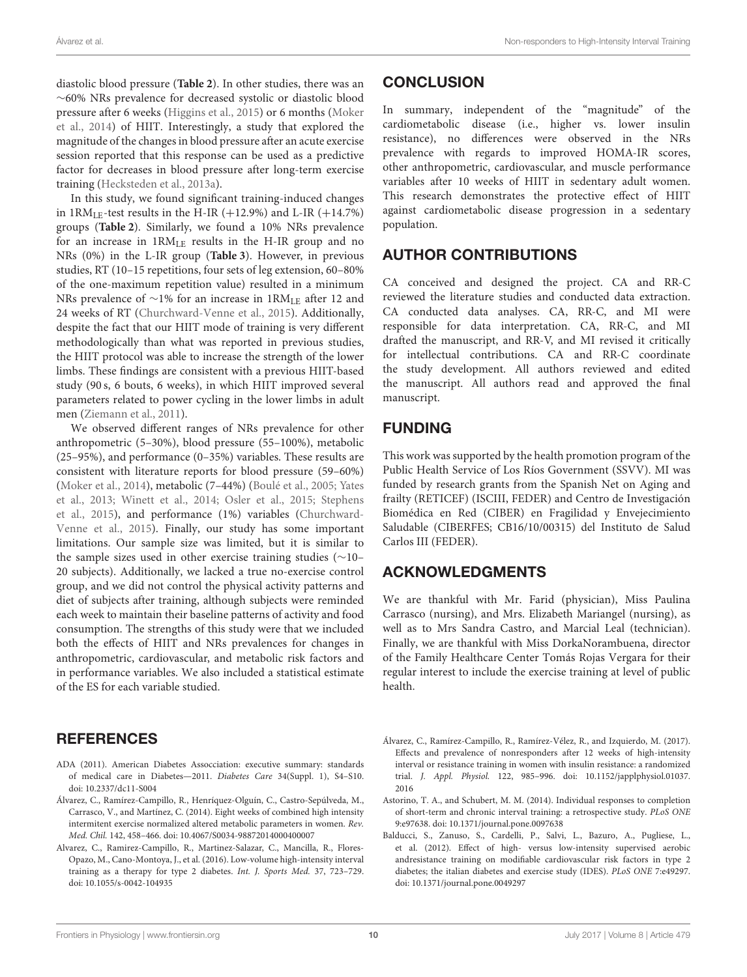diastolic blood pressure (**[Table 2](#page-5-0)**). In other studies, there was an ∼60% NRs prevalence for decreased systolic or diastolic blood pressure after 6 weeks [\(Higgins et al., 2015\)](#page-10-28) or 6 months (Moker et al., [2014\)](#page-10-13) of HIIT. Interestingly, a study that explored the magnitude of the changes in blood pressure after an acute exercise session reported that this response can be used as a predictive factor for decreases in blood pressure after long-term exercise training [\(Hecksteden et al., 2013a\)](#page-10-31).

In this study, we found significant training-induced changes in  $1RM_{LE}$ -test results in the H-IR (+12.9%) and L-IR (+14.7%) groups (**[Table 2](#page-5-0)**). Similarly, we found a 10% NRs prevalence for an increase in 1RMLE results in the H-IR group and no NRs (0%) in the L-IR group (**[Table 3](#page-8-0)**). However, in previous studies, RT (10–15 repetitions, four sets of leg extension, 60–80% of the one-maximum repetition value) resulted in a minimum NRs prevalence of ~1% for an increase in 1RM<sub>LE</sub> after 12 and 24 weeks of RT [\(Churchward-Venne et al., 2015\)](#page-10-14). Additionally, despite the fact that our HIIT mode of training is very different methodologically than what was reported in previous studies, the HIIT protocol was able to increase the strength of the lower limbs. These findings are consistent with a previous HIIT-based study (90 s, 6 bouts, 6 weeks), in which HIIT improved several parameters related to power cycling in the lower limbs in adult men [\(Ziemann et al., 2011\)](#page-11-2).

We observed different ranges of NRs prevalence for other anthropometric (5–30%), blood pressure (55–100%), metabolic (25–95%), and performance (0–35%) variables. These results are consistent with literature reports for blood pressure (59–60%) [\(Moker et al., 2014\)](#page-10-13), metabolic (7–44%) [\(Boulé et al., 2005;](#page-10-26) Yates et al., [2013;](#page-11-0) [Winett et al., 2014;](#page-11-1) [Osler et al., 2015;](#page-10-32) Stephens et al., [2015\)](#page-10-11), and performance (1%) variables (Churchward-Venne et al., [2015\)](#page-10-14). Finally, our study has some important limitations. Our sample size was limited, but it is similar to the sample sizes used in other exercise training studies (∼10– 20 subjects). Additionally, we lacked a true no-exercise control group, and we did not control the physical activity patterns and diet of subjects after training, although subjects were reminded each week to maintain their baseline patterns of activity and food consumption. The strengths of this study were that we included both the effects of HIIT and NRs prevalences for changes in anthropometric, cardiovascular, and metabolic risk factors and in performance variables. We also included a statistical estimate of the ES for each variable studied.

## **REFERENCES**

- <span id="page-9-2"></span>ADA (2011). American Diabetes Assocciation: executive summary: standards of medical care in Diabetes—2011. Diabetes Care 34(Suppl. 1), S4–S10. doi: [10.2337/dc11-S004](https://doi.org/10.2337/dc11-S004)
- <span id="page-9-0"></span>Álvarez, C., Ramírez-Campillo, R., Henríquez-Olguín, C., Castro-Sepúlveda, M., Carrasco, V., and Martínez, C. (2014). Eight weeks of combined high intensity intermitent exercise normalized altered metabolic parameters in women. Rev. Med. Chil. 142, 458–466. doi: [10.4067/S0034-98872014000400007](https://doi.org/10.4067/S0034-98872014000400007)
- <span id="page-9-1"></span>Alvarez, C., Ramirez-Campillo, R., Martinez-Salazar, C., Mancilla, R., Flores-Opazo, M., Cano-Montoya, J., et al. (2016). Low-volume high-intensity interval training as a therapy for type 2 diabetes. Int. J. Sports Med. 37, 723–729. doi: [10.1055/s-0042-104935](https://doi.org/10.1055/s-0042-104935)

## **CONCLUSION**

In summary, independent of the "magnitude" of the cardiometabolic disease (i.e., higher vs. lower insulin resistance), no differences were observed in the NRs prevalence with regards to improved HOMA-IR scores, other anthropometric, cardiovascular, and muscle performance variables after 10 weeks of HIIT in sedentary adult women. This research demonstrates the protective effect of HIIT against cardiometabolic disease progression in a sedentary population.

# AUTHOR CONTRIBUTIONS

CA conceived and designed the project. CA and RR-C reviewed the literature studies and conducted data extraction. CA conducted data analyses. CA, RR-C, and MI were responsible for data interpretation. CA, RR-C, and MI drafted the manuscript, and RR-V, and MI revised it critically for intellectual contributions. CA and RR-C coordinate the study development. All authors reviewed and edited the manuscript. All authors read and approved the final manuscript.

## FUNDING

This work was supported by the health promotion program of the Public Health Service of Los Ríos Government (SSVV). MI was funded by research grants from the Spanish Net on Aging and frailty (RETICEF) (ISCIII, FEDER) and Centro de Investigación Biomédica en Red (CIBER) en Fragilidad y Envejecimiento Saludable (CIBERFES; CB16/10/00315) del Instituto de Salud Carlos III (FEDER).

## ACKNOWLEDGMENTS

We are thankful with Mr. Farid (physician), Miss Paulina Carrasco (nursing), and Mrs. Elizabeth Mariangel (nursing), as well as to Mrs Sandra Castro, and Marcial Leal (technician). Finally, we are thankful with Miss DorkaNorambuena, director of the Family Healthcare Center Tomás Rojas Vergara for their regular interest to include the exercise training at level of public health.

- <span id="page-9-5"></span>Álvarez, C., Ramírez-Campillo, R., Ramírez-Vélez, R., and Izquierdo, M. (2017). Effects and prevalence of nonresponders after 12 weeks of high-intensity interval or resistance training in women with insulin resistance: a randomized trial. J. Appl. Physiol. [122, 985–996. doi: 10.1152/japplphysiol.01037.](https://doi.org/10.1152/japplphysiol.01037.2016) 2016
- <span id="page-9-4"></span>Astorino, T. A., and Schubert, M. M. (2014). Individual responses to completion of short-term and chronic interval training: a retrospective study. PLoS ONE 9:e97638. doi: [10.1371/journal.pone.0097638](https://doi.org/10.1371/journal.pone.0097638)
- <span id="page-9-3"></span>Balducci, S., Zanuso, S., Cardelli, P., Salvi, L., Bazuro, A., Pugliese, L., et al. (2012). Effect of high- versus low-intensity supervised aerobic andresistance training on modifiable cardiovascular risk factors in type 2 diabetes; the italian diabetes and exercise study (IDES). PLoS ONE 7:e49297. doi: [10.1371/journal.pone.0049297](https://doi.org/10.1371/journal.pone.0049297)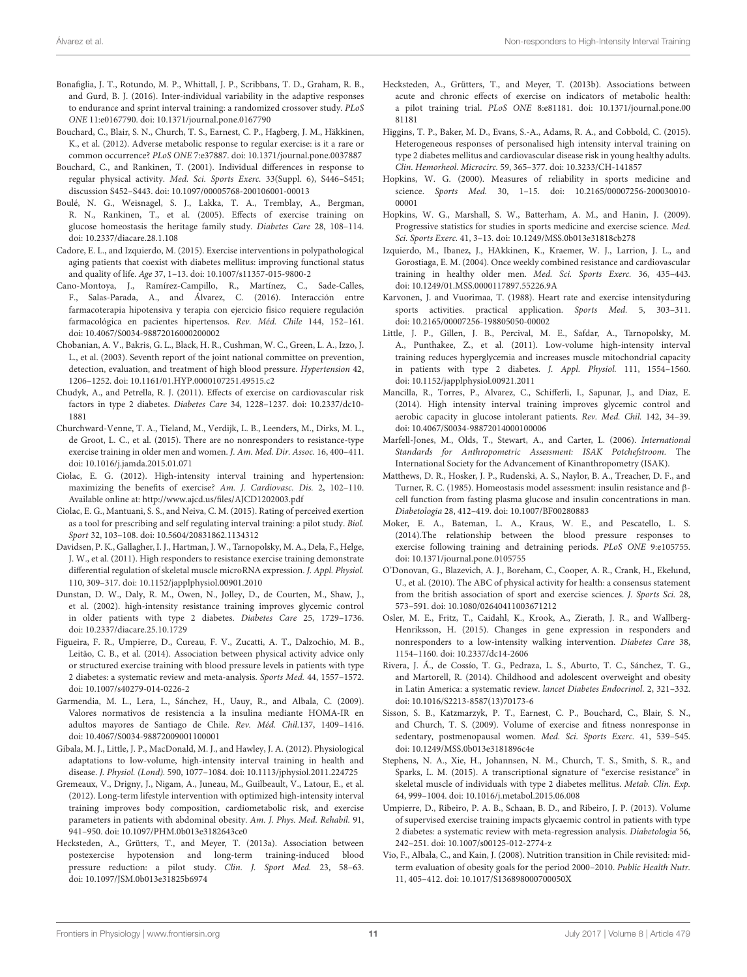- <span id="page-10-8"></span>Bonafiglia, J. T., Rotundo, M. P., Whittall, J. P., Scribbans, T. D., Graham, R. B., and Gurd, B. J. (2016). Inter-individual variability in the adaptive responses to endurance and sprint interval training: a randomized crossover study. PLoS ONE 11:e0167790. doi: [10.1371/journal.pone.0167790](https://doi.org/10.1371/journal.pone.0167790)
- <span id="page-10-7"></span>Bouchard, C., Blair, S. N., Church, T. S., Earnest, C. P., Hagberg, J. M., Häkkinen, K., et al. (2012). Adverse metabolic response to regular exercise: is it a rare or common occurrence? PLoS ONE 7:e37887. doi: [10.1371/journal.pone.0037887](https://doi.org/10.1371/journal.pone.0037887)
- <span id="page-10-12"></span>Bouchard, C., and Rankinen, T. (2001). Individual differences in response to regular physical activity. Med. Sci. Sports Exerc. 33(Suppl. 6), S446–S451; discussion S452–S443. doi: [10.1097/00005768-200106001-00013](https://doi.org/10.1097/00005768-200106001-00013)
- <span id="page-10-26"></span>Boulé, N. G., Weisnagel, S. J., Lakka, T. A., Tremblay, A., Bergman, R. N., Rankinen, T., et al. (2005). Effects of exercise training on glucose homeostasis the heritage family study. Diabetes Care 28, 108–114. doi: [10.2337/diacare.28.1.108](https://doi.org/10.2337/diacare.28.1.108)
- <span id="page-10-5"></span>Cadore, E. L., and Izquierdo, M. (2015). Exercise interventions in polypathological aging patients that coexist with diabetes mellitus: improving functional status and quality of life. Age 37, 1–13. doi: [10.1007/s11357-015-9800-2](https://doi.org/10.1007/s11357-015-9800-2)
- <span id="page-10-4"></span>Cano-Montoya, J., Ramírez-Campillo, R., Martínez, C., Sade-Calles, F., Salas-Parada, A., and Álvarez, C. (2016). Interacción entre farmacoterapia hipotensiva y terapia con ejercicio físico requiere regulación farmacológica en pacientes hipertensos. Rev. Méd. Chile 144, 152–161. doi: [10.4067/S0034-98872016000200002](https://doi.org/10.4067/S0034-98872016000200002)
- <span id="page-10-23"></span>Chobanian, A. V., Bakris, G. L., Black, H. R., Cushman, W. C., Green, L. A., Izzo, J. L., et al. (2003). Seventh report of the joint national committee on prevention, detection, evaluation, and treatment of high blood pressure. Hypertension 42, 1206–1252. doi: [10.1161/01.HYP.0000107251.49515.c2](https://doi.org/10.1161/01.HYP.0000107251.49515.c2)
- <span id="page-10-1"></span>Chudyk, A., and Petrella, R. J. (2011). Effects of exercise on cardiovascular risk factors in type 2 diabetes. Diabetes Care [34, 1228–1237. doi: 10.2337/dc10-](https://doi.org/10.2337/dc10-1881) 1881
- <span id="page-10-14"></span>Churchward-Venne, T. A., Tieland, M., Verdijk, L. B., Leenders, M., Dirks, M. L., de Groot, L. C., et al. (2015). There are no nonresponders to resistance-type exercise training in older men and women. J. Am. Med. Dir. Assoc. 16, 400–411. doi: [10.1016/j.jamda.2015.01.071](https://doi.org/10.1016/j.jamda.2015.01.071)
- <span id="page-10-30"></span>Ciolac, E. G. (2012). High-intensity interval training and hypertension: maximizing the benefits of exercise? Am. J. Cardiovasc. Dis. 2, 102–110. Available online at:<http://www.ajcd.us/files/AJCD1202003.pdf>
- Ciolac, E. G., Mantuani, S. S., and Neiva, C. M. (2015). Rating of perceived exertion as a tool for prescribing and self regulating interval training: a pilot study. Biol. Sport 32, 103–108. doi: [10.5604/20831862.1134312](https://doi.org/10.5604/20831862.1134312)
- <span id="page-10-9"></span>Davidsen, P. K., Gallagher, I. J., Hartman, J. W., Tarnopolsky, M. A., Dela, F., Helge, J. W., et al. (2011). High responders to resistance exercise training demonstrate differential regulation of skeletal muscle microRNA expression. J. Appl. Physiol. 110, 309–317. doi: [10.1152/japplphysiol.00901.2010](https://doi.org/10.1152/japplphysiol.00901.2010)
- <span id="page-10-3"></span>Dunstan, D. W., Daly, R. M., Owen, N., Jolley, D., de Courten, M., Shaw, J., et al. (2002). high-intensity resistance training improves glycemic control in older patients with type 2 diabetes. Diabetes Care 25, 1729–1736. doi: [10.2337/diacare.25.10.1729](https://doi.org/10.2337/diacare.25.10.1729)
- <span id="page-10-2"></span>Figueira, F. R., Umpierre, D., Cureau, F. V., Zucatti, A. T., Dalzochio, M. B., Leitão, C. B., et al. (2014). Association between physical activity advice only or structured exercise training with blood pressure levels in patients with type 2 diabetes: a systematic review and meta-analysis. Sports Med. 44, 1557–1572. doi: [10.1007/s40279-014-0226-2](https://doi.org/10.1007/s40279-014-0226-2)
- <span id="page-10-19"></span>Garmendia, M. L., Lera, L., Sánchez, H., Uauy, R., and Albala, C. (2009). Valores normativos de resistencia a la insulina mediante HOMA-IR en adultos mayores de Santiago de Chile. Rev. Méd. Chil.137, 1409–1416. doi: [10.4067/S0034-98872009001100001](https://doi.org/10.4067/S0034-98872009001100001)
- <span id="page-10-6"></span>Gibala, M. J., Little, J. P., MacDonald, M. J., and Hawley, J. A. (2012). Physiological adaptations to low-volume, high-intensity interval training in health and disease. J. Physiol. (Lond). 590, 1077–1084. doi: [10.1113/jphysiol.2011.224725](https://doi.org/10.1113/jphysiol.2011.224725)
- <span id="page-10-27"></span>Gremeaux, V., Drigny, J., Nigam, A., Juneau, M., Guilbeault, V., Latour, E., et al. (2012). Long-term lifestyle intervention with optimized high-intensity interval training improves body composition, cardiometabolic risk, and exercise parameters in patients with abdominal obesity. Am. J. Phys. Med. Rehabil. 91, 941–950. doi: [10.1097/PHM.0b013e3182643ce0](https://doi.org/10.1097/PHM.0b013e3182643ce0)
- <span id="page-10-31"></span>Hecksteden, A., Grütters, T., and Meyer, T. (2013a). Association between postexercise hypotension and long-term training-induced blood pressure reduction: a pilot study. Clin. J. Sport Med. 23, 58–63. doi: [10.1097/JSM.0b013e31825b6974](https://doi.org/10.1097/JSM.0b013e31825b6974)
- <span id="page-10-29"></span>Hecksteden, A., Grütters, T., and Meyer, T. (2013b). Associations between acute and chronic effects of exercise on indicators of metabolic health: a pilot training trial. PLoS ONE [8:e81181. doi: 10.1371/journal.pone.00](https://doi.org/10.1371/journal.pone.0081181) 81181
- <span id="page-10-28"></span>Higgins, T. P., Baker, M. D., Evans, S.-A., Adams, R. A., and Cobbold, C. (2015). Heterogeneous responses of personalised high intensity interval training on type 2 diabetes mellitus and cardiovascular disease risk in young healthy adults. Clin. Hemorheol. Microcirc. 59, 365–377. doi: [10.3233/CH-141857](https://doi.org/10.3233/CH-141857)
- <span id="page-10-21"></span>Hopkins, W. G. (2000). Measures of reliability in sports medicine and science. Sports Med. 30, 1-15. doi: 10.2165/00007256-200030010-00001
- Hopkins, W. G., Marshall, S. W., Batterham, A. M., and Hanin, J. (2009). Progressive statistics for studies in sports medicine and exercise science. Med. Sci. Sports Exerc. 41, 3–13. doi: [10.1249/MSS.0b013e31818cb278](https://doi.org/10.1249/MSS.0b013e31818cb278)
- <span id="page-10-25"></span>Izquierdo, M., Ibanez, J., HAkkinen, K., Kraemer, W. J., Larrion, J. L., and Gorostiaga, E. M. (2004). Once weekly combined resistance and cardiovascular training in healthy older men. Med. Sci. Sports Exerc. 36, 435–443. doi: [10.1249/01.MSS.0000117897.55226.9A](https://doi.org/10.1249/01.MSS.0000117897.55226.9A)
- Karvonen, J. and Vuorimaa, T. (1988). Heart rate and exercise intensityduring sports activities. practical application. Sports Med. 5, 303–311. doi: [10.2165/00007256-198805050-00002](https://doi.org/10.2165/00007256-198805050-00002)
- <span id="page-10-15"></span>Little, J. P., Gillen, J. B., Percival, M. E., Safdar, A., Tarnopolsky, M. A., Punthakee, Z., et al. (2011). Low-volume high-intensity interval training reduces hyperglycemia and increases muscle mitochondrial capacity in patients with type 2 diabetes. J. Appl. Physiol. 111, 1554–1560. doi: [10.1152/japplphysiol.00921.2011](https://doi.org/10.1152/japplphysiol.00921.2011)
- <span id="page-10-16"></span>Mancilla, R., Torres, P., Alvarez, C., Schifferli, I., Sapunar, J., and Diaz, E. (2014). High intensity interval training improves glycemic control and aerobic capacity in glucose intolerant patients. Rev. Med. Chil. 142, 34–39. doi: [10.4067/S0034-98872014000100006](https://doi.org/10.4067/S0034-98872014000100006)
- <span id="page-10-22"></span>Marfell-Jones, M., Olds, T., Stewart, A., and Carter, L. (2006). International Standards for Anthropometric Assessment: ISAK Potchefstroom. The International Society for the Advancement of Kinanthropometry (ISAK).
- <span id="page-10-24"></span>Matthews, D. R., Hosker, J. P., Rudenski, A. S., Naylor, B. A., Treacher, D. F., and Turner, R. C. (1985). Homeostasis model assessment: insulin resistance and βcell function from fasting plasma glucose and insulin concentrations in man. Diabetologia 28, 412–419. doi: [10.1007/BF00280883](https://doi.org/10.1007/BF00280883)
- <span id="page-10-13"></span>Moker, E. A., Bateman, L. A., Kraus, W. E., and Pescatello, L. S. (2014).The relationship between the blood pressure responses to exercise following training and detraining periods. PLoS ONE 9:e105755. doi: [10.1371/journal.pone.0105755](https://doi.org/10.1371/journal.pone.0105755)
- <span id="page-10-20"></span>O'Donovan, G., Blazevich, A. J., Boreham, C., Cooper, A. R., Crank, H., Ekelund, U., et al. (2010). The ABC of physical activity for health: a consensus statement from the british association of sport and exercise sciences. J. Sports Sci. 28, 573–591. doi: [10.1080/02640411003671212](https://doi.org/10.1080/02640411003671212)
- <span id="page-10-32"></span>Osler, M. E., Fritz, T., Caidahl, K., Krook, A., Zierath, J. R., and Wallberg-Henriksson, H. (2015). Changes in gene expression in responders and nonresponders to a low-intensity walking intervention. Diabetes Care 38, 1154–1160. doi: [10.2337/dc14-2606](https://doi.org/10.2337/dc14-2606)
- <span id="page-10-17"></span>Rivera, J. Á., de Cossío, T. G., Pedraza, L. S., Aburto, T. C., Sánchez, T. G., and Martorell, R. (2014). Childhood and adolescent overweight and obesity in Latin America: a systematic review. lancet Diabetes Endocrinol. 2, 321–332. doi: [10.1016/S2213-8587\(13\)70173-6](https://doi.org/10.1016/S2213-8587(13)70173-6)
- <span id="page-10-10"></span>Sisson, S. B., Katzmarzyk, P. T., Earnest, C. P., Bouchard, C., Blair, S. N., and Church, T. S. (2009). Volume of exercise and fitness nonresponse in sedentary, postmenopausal women. Med. Sci. Sports Exerc. 41, 539–545. doi: [10.1249/MSS.0b013e3181896c4e](https://doi.org/10.1249/MSS.0b013e3181896c4e)
- <span id="page-10-11"></span>Stephens, N. A., Xie, H., Johannsen, N. M., Church, T. S., Smith, S. R., and Sparks, L. M. (2015). A transcriptional signature of "exercise resistance" in skeletal muscle of individuals with type 2 diabetes mellitus. Metab. Clin. Exp. 64, 999–1004. doi: [10.1016/j.metabol.2015.06.008](https://doi.org/10.1016/j.metabol.2015.06.008)
- <span id="page-10-0"></span>Umpierre, D., Ribeiro, P. A. B., Schaan, B. D., and Ribeiro, J. P. (2013). Volume of supervised exercise training impacts glycaemic control in patients with type 2 diabetes: a systematic review with meta-regression analysis. Diabetologia 56, 242–251. doi: [10.1007/s00125-012-2774-z](https://doi.org/10.1007/s00125-012-2774-z)
- <span id="page-10-18"></span>Vio, F., Albala, C., and Kain, J. (2008). Nutrition transition in Chile revisited: midterm evaluation of obesity goals for the period 2000–2010. Public Health Nutr. 11, 405–412. doi: [10.1017/S136898000700050X](https://doi.org/10.1017/S136898000700050X)